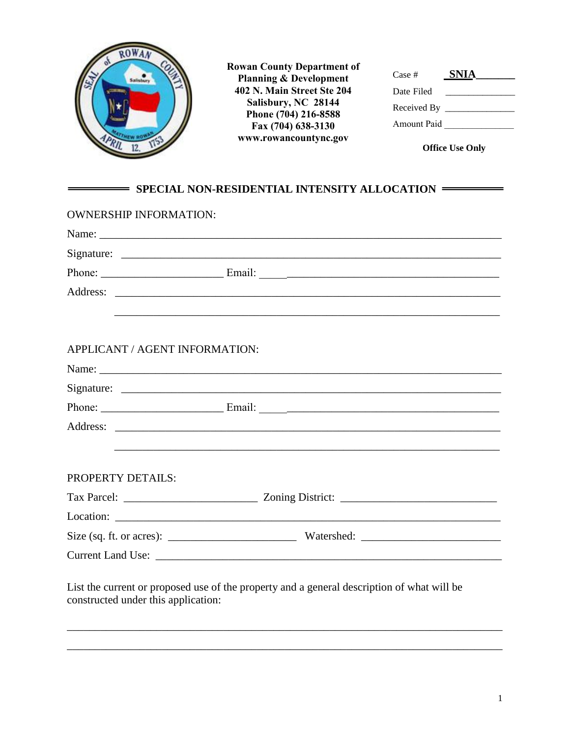

List the current or proposed use of the property and a general description of what will be constructed under this application:

\_\_\_\_\_\_\_\_\_\_\_\_\_\_\_\_\_\_\_\_\_\_\_\_\_\_\_\_\_\_\_\_\_\_\_\_\_\_\_\_\_\_\_\_\_\_\_\_\_\_\_\_\_\_\_\_\_\_\_\_\_\_\_\_\_\_\_\_\_\_\_\_\_\_\_\_\_\_

\_\_\_\_\_\_\_\_\_\_\_\_\_\_\_\_\_\_\_\_\_\_\_\_\_\_\_\_\_\_\_\_\_\_\_\_\_\_\_\_\_\_\_\_\_\_\_\_\_\_\_\_\_\_\_\_\_\_\_\_\_\_\_\_\_\_\_\_\_\_\_\_\_\_\_\_\_\_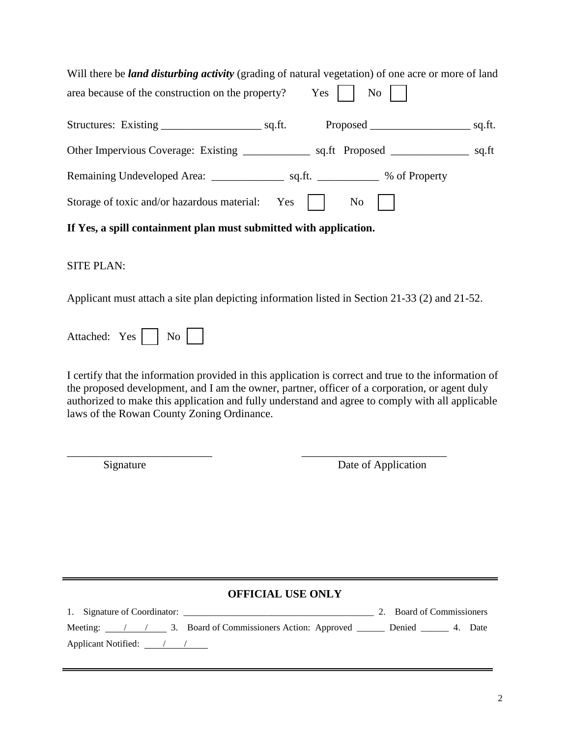| Will there be <i>land disturbing activity</i> (grading of natural vegetation) of one acre or more of land |  |
|-----------------------------------------------------------------------------------------------------------|--|
| area because of the construction on the property? $\qquad$ Yes $\parallel$ No $\parallel$                 |  |
|                                                                                                           |  |
|                                                                                                           |  |
|                                                                                                           |  |
| Storage of toxic and/or hazardous material: Yes  <br>$\overline{N_0}$                                     |  |

**If Yes, a spill containment plan must submitted with application.** 

## SITE PLAN:

Applicant must attach a site plan depicting information listed in Section 21-33 (2) and 21-52.

| Attached: | Yes. |  | Nc |  |  |
|-----------|------|--|----|--|--|
|-----------|------|--|----|--|--|

I certify that the information provided in this application is correct and true to the information of the proposed development, and I am the owner, partner, officer of a corporation, or agent duly authorized to make this application and fully understand and agree to comply with all applicable laws of the Rowan County Zoning Ordinance.

\_\_\_\_\_\_\_\_\_\_\_\_\_\_\_\_\_\_\_\_\_\_\_\_\_\_ \_\_\_\_\_\_\_\_\_\_\_\_\_\_\_\_\_\_\_\_\_\_\_\_\_\_

Signature Date of Application

## **OFFICIAL USE ONLY**

1. Signature of Coordinator: \_\_\_\_\_\_\_\_\_\_\_\_\_\_\_\_\_\_\_\_\_\_\_\_\_\_\_\_\_\_\_\_\_\_\_\_\_\_\_\_\_ 2. Board of Commissioners Meeting:  $\sqrt{2}$  3. Board of Commissioners Action: Approved \_\_\_\_\_\_\_ Denied \_\_\_\_\_\_ 4. Date Applicant Notified: <u>/ / / /</u>